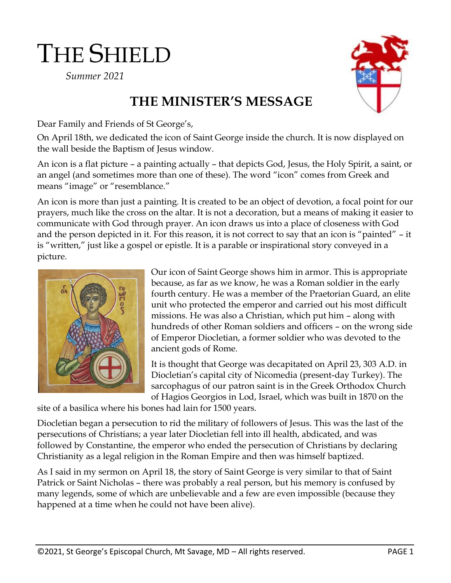# THE SHIELD

 *Summer 2021*



## **THE MINISTER'S MESSAGE**

Dear Family and Friends of St George's,

On April 18th, we dedicated the icon of Saint George inside the church. It is now displayed on the wall beside the Baptism of Jesus window.

An icon is a flat picture – a painting actually – that depicts God, Jesus, the Holy Spirit, a saint, or an angel (and sometimes more than one of these). The word "icon" comes from Greek and means "image" or "resemblance."

An icon is more than just a painting. It is created to be an object of devotion, a focal point for our prayers, much like the cross on the altar. It is not a decoration, but a means of making it easier to communicate with God through prayer. An icon draws us into a place of closeness with God and the person depicted in it. For this reason, it is not correct to say that an icon is "painted" – it is "written," just like a gospel or epistle. It is a parable or inspirational story conveyed in a picture.



Our icon of Saint George shows him in armor. This is appropriate because, as far as we know, he was a Roman soldier in the early fourth century. He was a member of the Praetorian Guard, an elite unit who protected the emperor and carried out his most difficult missions. He was also a Christian, which put him – along with hundreds of other Roman soldiers and officers – on the wrong side of Emperor Diocletian, a former soldier who was devoted to the ancient gods of Rome.

It is thought that George was decapitated on April 23, 303 A.D. in Diocletian's capital city of Nicomedia (present-day Turkey). The sarcophagus of our patron saint is in the Greek Orthodox Church of Hagios Georgios in Lod, Israel, which was built in 1870 on the

site of a basilica where his bones had lain for 1500 years.

Diocletian began a persecution to rid the military of followers of Jesus. This was the last of the persecutions of Christians; a year later Diocletian fell into ill health, abdicated, and was followed by Constantine, the emperor who ended the persecution of Christians by declaring Christianity as a legal religion in the Roman Empire and then was himself baptized.

As I said in my sermon on April 18, the story of Saint George is very similar to that of Saint Patrick or Saint Nicholas – there was probably a real person, but his memory is confused by many legends, some of which are unbelievable and a few are even impossible (because they happened at a time when he could not have been alive).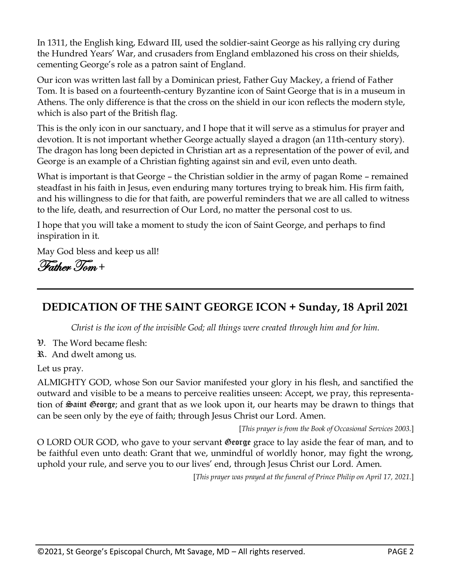In 1311, the English king, Edward III, used the soldier-saint George as his rallying cry during the Hundred Years' War, and crusaders from England emblazoned his cross on their shields, cementing George's role as a patron saint of England.

Our icon was written last fall by a Dominican priest, Father Guy Mackey, a friend of Father Tom. It is based on a fourteenth-century Byzantine icon of Saint George that is in a museum in Athens. The only difference is that the cross on the shield in our icon reflects the modern style, which is also part of the British flag.

This is the only icon in our sanctuary, and I hope that it will serve as a stimulus for prayer and devotion. It is not important whether George actually slayed a dragon (an 11th-century story). The dragon has long been depicted in Christian art as a representation of the power of evil, and George is an example of a Christian fighting against sin and evil, even unto death.

What is important is that George – the Christian soldier in the army of pagan Rome – remained steadfast in his faith in Jesus, even enduring many tortures trying to break him. His firm faith, and his willingness to die for that faith, are powerful reminders that we are all called to witness to the life, death, and resurrection of Our Lord, no matter the personal cost to us.

I hope that you will take a moment to study the icon of Saint George, and perhaps to find inspiration in it.

May God bless and keep us all!

Father Tom +

### **DEDICATION OF THE SAINT GEORGE ICON + Sunday, 18 April 2021**

*Christ is the icon of the invisible God; all things were created through him and for him.*

- $\mathfrak{Y}$ . The Word became flesh:
- **R.** And dwelt among us.

#### Let us pray.

ALMIGHTY GOD, whose Son our Savior manifested your glory in his flesh, and sanctified the outward and visible to be a means to perceive realities unseen: Accept, we pray, this representation of Saint George; and grant that as we look upon it, our hearts may be drawn to things that can be seen only by the eye of faith; through Jesus Christ our Lord. Amen.

[*This prayer is from the Book of Occasional Services 2003.*]

O LORD OUR GOD, who gave to your servant George grace to lay aside the fear of man, and to be faithful even unto death: Grant that we, unmindful of worldly honor, may fight the wrong, uphold your rule, and serve you to our lives' end, through Jesus Christ our Lord. Amen.

[*This prayer was prayed at the funeral of Prince Philip on April 17, 2021.*]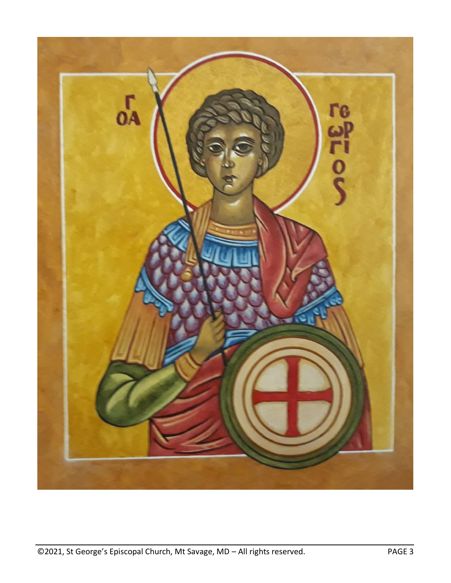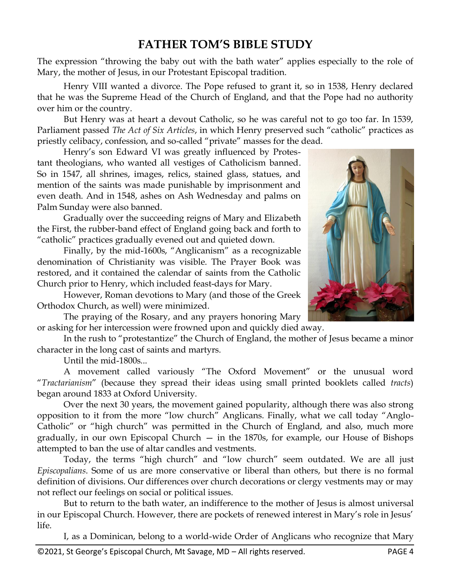### **FATHER TOM'S BIBLE STUDY**

The expression "throwing the baby out with the bath water" applies especially to the role of Mary, the mother of Jesus, in our Protestant Episcopal tradition.

Henry VIII wanted a divorce. The Pope refused to grant it, so in 1538, Henry declared that he was the Supreme Head of the Church of England, and that the Pope had no authority over him or the country.

But Henry was at heart a devout Catholic, so he was careful not to go too far. In 1539, Parliament passed *The Act of Six Articles*, in which Henry preserved such "catholic" practices as priestly celibacy, confession, and so-called "private" masses for the dead.

Henry's son Edward VI was greatly influenced by Protestant theologians, who wanted all vestiges of Catholicism banned. So in 1547, all shrines, images, relics, stained glass, statues, and mention of the saints was made punishable by imprisonment and even death. And in 1548, ashes on Ash Wednesday and palms on Palm Sunday were also banned.

Gradually over the succeeding reigns of Mary and Elizabeth the First, the rubber-band effect of England going back and forth to "catholic" practices gradually evened out and quieted down.

Finally, by the mid-1600s, "Anglicanism" as a recognizable denomination of Christianity was visible. The Prayer Book was restored, and it contained the calendar of saints from the Catholic Church prior to Henry, which included feast-days for Mary.

However, Roman devotions to Mary (and those of the Greek Orthodox Church, as well) were minimized.

The praying of the Rosary, and any prayers honoring Mary or asking for her intercession were frowned upon and quickly died away.

In the rush to "protestantize" the Church of England, the mother of Jesus became a minor character in the long cast of saints and martyrs.

Until the mid-1800s...

A movement called variously "The Oxford Movement" or the unusual word "*Tractarianism*" (because they spread their ideas using small printed booklets called *tracts*) began around 1833 at Oxford University.

Over the next 30 years, the movement gained popularity, although there was also strong opposition to it from the more "low church" Anglicans. Finally, what we call today "Anglo-Catholic" or "high church" was permitted in the Church of England, and also, much more gradually, in our own Episcopal Church — in the 1870s, for example, our House of Bishops attempted to ban the use of altar candles and vestments.

Today, the terms "high church" and "low church" seem outdated. We are all just *Episcopalians*. Some of us are more conservative or liberal than others, but there is no formal definition of divisions. Our differences over church decorations or clergy vestments may or may not reflect our feelings on social or political issues.

But to return to the bath water, an indifference to the mother of Jesus is almost universal in our Episcopal Church. However, there are pockets of renewed interest in Mary's role in Jesus' life.

I, as a Dominican, belong to a world-wide Order of Anglicans who recognize that Mary

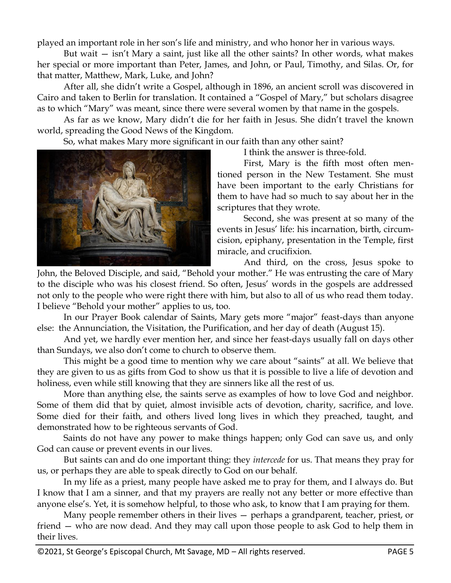played an important role in her son's life and ministry, and who honor her in various ways.

But wait — isn't Mary a saint, just like all the other saints? In other words, what makes her special or more important than Peter, James, and John, or Paul, Timothy, and Silas. Or, for that matter, Matthew, Mark, Luke, and John?

After all, she didn't write a Gospel, although in 1896, an ancient scroll was discovered in Cairo and taken to Berlin for translation. It contained a "Gospel of Mary," but scholars disagree as to which "Mary" was meant, since there were several women by that name in the gospels.

As far as we know, Mary didn't die for her faith in Jesus. She didn't travel the known world, spreading the Good News of the Kingdom.

So, what makes Mary more significant in our faith than any other saint?

I think the answer is three-fold.



First, Mary is the fifth most often mentioned person in the New Testament. She must have been important to the early Christians for them to have had so much to say about her in the scriptures that they wrote.

Second, she was present at so many of the events in Jesus' life: his incarnation, birth, circumcision, epiphany, presentation in the Temple, first miracle, and crucifixion.

And third, on the cross, Jesus spoke to

John, the Beloved Disciple, and said, "Behold your mother." He was entrusting the care of Mary to the disciple who was his closest friend. So often, Jesus' words in the gospels are addressed not only to the people who were right there with him, but also to all of us who read them today. I believe "Behold your mother" applies to us, too.

In our Prayer Book calendar of Saints, Mary gets more "major" feast-days than anyone else: the Annunciation, the Visitation, the Purification, and her day of death (August 15).

And yet, we hardly ever mention her, and since her feast-days usually fall on days other than Sundays, we also don't come to church to observe them.

This might be a good time to mention why we care about "saints" at all. We believe that they are given to us as gifts from God to show us that it is possible to live a life of devotion and holiness, even while still knowing that they are sinners like all the rest of us.

More than anything else, the saints serve as examples of how to love God and neighbor. Some of them did that by quiet, almost invisible acts of devotion, charity, sacrifice, and love. Some died for their faith, and others lived long lives in which they preached, taught, and demonstrated how to be righteous servants of God.

Saints do not have any power to make things happen; only God can save us, and only God can cause or prevent events in our lives.

But saints can and do one important thing: they *intercede* for us. That means they pray for us, or perhaps they are able to speak directly to God on our behalf.

In my life as a priest, many people have asked me to pray for them, and I always do. But I know that I am a sinner, and that my prayers are really not any better or more effective than anyone else's. Yet, it is somehow helpful, to those who ask, to know that I am praying for them.

Many people remember others in their lives — perhaps a grandparent, teacher, priest, or friend — who are now dead. And they may call upon those people to ask God to help them in their lives.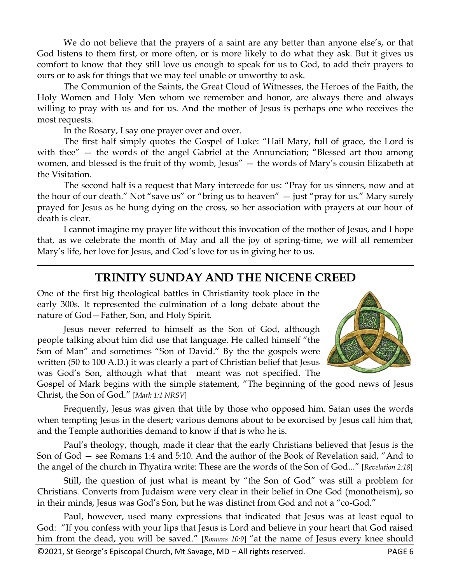We do not believe that the prayers of a saint are any better than anyone else's, or that God listens to them first, or more often, or is more likely to do what they ask. But it gives us comfort to know that they still love us enough to speak for us to God, to add their prayers to ours or to ask for things that we may feel unable or unworthy to ask.

The Communion of the Saints, the Great Cloud of Witnesses, the Heroes of the Faith, the Holy Women and Holy Men whom we remember and honor, are always there and always willing to pray with us and for us. And the mother of Jesus is perhaps one who receives the most requests.

In the Rosary, I say one prayer over and over.

The first half simply quotes the Gospel of Luke: "Hail Mary, full of grace, the Lord is with thee" – the words of the angel Gabriel at the Annunciation; "Blessed art thou among women, and blessed is the fruit of thy womb, Jesus" — the words of Mary's cousin Elizabeth at the Visitation.

The second half is a request that Mary intercede for us: "Pray for us sinners, now and at the hour of our death." Not "save us" or "bring us to heaven"  $-$  just "pray for us." Mary surely prayed for Jesus as he hung dying on the cross, so her association with prayers at our hour of death is clear.

I cannot imagine my prayer life without this invocation of the mother of Jesus, and I hope that, as we celebrate the month of May and all the joy of spring-time, we will all remember Mary's life, her love for Jesus, and God's love for us in giving her to us.

### **TRINITY SUNDAY AND THE NICENE CREED**

One of the first big theological battles in Christianity took place in the early 300s. It represented the culmination of a long debate about the nature of God—Father, Son, and Holy Spirit.

Jesus never referred to himself as the Son of God, although people talking about him did use that language. He called himself "the Son of Man" and sometimes "Son of David." By the the gospels were written (50 to 100 A.D.) it was clearly a part of Christian belief that Jesus was God's Son, although what that meant was not specified. The



Gospel of Mark begins with the simple statement, "The beginning of the good news of Jesus Christ, the Son of God." [*Mark 1:1 NRSV*]

Frequently, Jesus was given that title by those who opposed him. Satan uses the words when tempting Jesus in the desert; various demons about to be exorcised by Jesus call him that, and the Temple authorities demand to know if that is who he is.

Paul's theology, though, made it clear that the early Christians believed that Jesus is the Son of God — see Romans 1:4 and 5:10. And the author of the Book of Revelation said, "And to the angel of the church in Thyatira write: These are the words of the Son of God..." [*Revelation 2:18*]

Still, the question of just what is meant by "the Son of God" was still a problem for Christians. Converts from Judaism were very clear in their belief in One God (monotheism), so in their minds, Jesus was God's Son, but he was distinct from God and not a "co-God."

Paul, however, used many expressions that indicated that Jesus was at least equal to God: "If you confess with your lips that Jesus is Lord and believe in your heart that God raised him from the dead, you will be saved." [*Romans 10:9*] "at the name of Jesus every knee should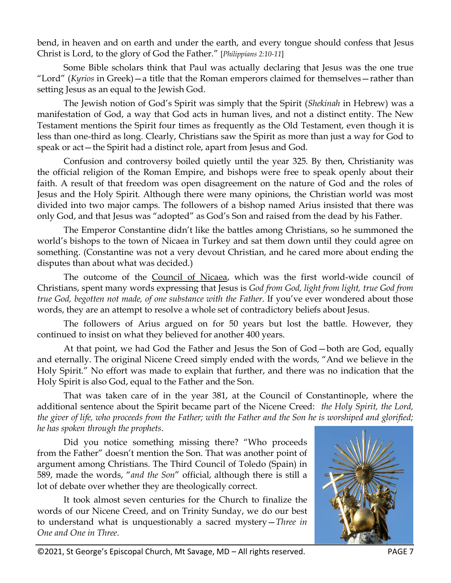bend, in heaven and on earth and under the earth, and every tongue should confess that Jesus Christ is Lord, to the glory of God the Father." [*Philippians 2:10-11*]

Some Bible scholars think that Paul was actually declaring that Jesus was the one true "Lord" (*Kyrios* in Greek)—a title that the Roman emperors claimed for themselves—rather than setting Jesus as an equal to the Jewish God.

The Jewish notion of God's Spirit was simply that the Spirit (*Shekinah* in Hebrew) was a manifestation of God, a way that God acts in human lives, and not a distinct entity. The New Testament mentions the Spirit four times as frequently as the Old Testament, even though it is less than one-third as long. Clearly, Christians saw the Spirit as more than just a way for God to speak or act—the Spirit had a distinct role, apart from Jesus and God.

Confusion and controversy boiled quietly until the year 325. By then, Christianity was the official religion of the Roman Empire, and bishops were free to speak openly about their faith. A result of that freedom was open disagreement on the nature of God and the roles of Jesus and the Holy Spirit. Although there were many opinions, the Christian world was most divided into two major camps. The followers of a bishop named Arius insisted that there was only God, and that Jesus was "adopted" as God's Son and raised from the dead by his Father.

The Emperor Constantine didn't like the battles among Christians, so he summoned the world's bishops to the town of Nicaea in Turkey and sat them down until they could agree on something. (Constantine was not a very devout Christian, and he cared more about ending the disputes than about what was decided.)

The outcome of the [Council of Nicaea,](https://en.wikipedia.org/wiki/First_Council_of_Nicaea) which was the first world-wide council of Christians, spent many words expressing that Jesus is *God from God, light from light, true God from true God, begotten not made, of one substance with the Father*. If you've ever wondered about those words, they are an attempt to resolve a whole set of contradictory beliefs about Jesus.

The followers of Arius argued on for 50 years but lost the battle. However, they continued to insist on what they believed for another 400 years.

At that point, we had God the Father and Jesus the Son of God—both are God, equally and eternally. The original Nicene Creed simply ended with the words, "And we believe in the Holy Spirit." No effort was made to explain that further, and there was no indication that the Holy Spirit is also God, equal to the Father and the Son.

That was taken care of in the year 381, at the Council of Constantinople, where the additional sentence about the Spirit became part of the Nicene Creed: *the Holy Spirit, the Lord, the giver of life, who proceeds from the Father; with the Father and the Son he is worshiped and glorified; he has spoken through the prophets*.

Did you notice something missing there? "Who proceeds from the Father" doesn't mention the Son. That was another point of argument among Christians. The Third Council of Toledo (Spain) in 589, made the words, "*and the Son*" official, although there is still a lot of debate over whether they are theologically correct.

It took almost seven centuries for the Church to finalize the words of our Nicene Creed, and on Trinity Sunday, we do our best to understand what is unquestionably a sacred mystery—*Three in One and One in Three*.

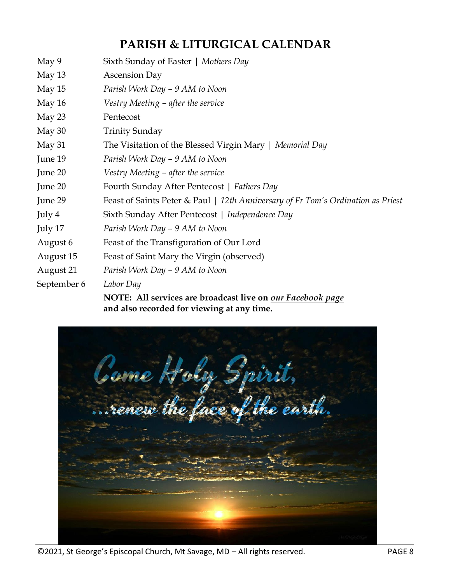### **PARISH & LITURGICAL CALENDAR**

| May 9       | Sixth Sunday of Easter   Mothers Day                                                                     |
|-------------|----------------------------------------------------------------------------------------------------------|
| May 13      | <b>Ascension Day</b>                                                                                     |
| May 15      | Parish Work Day - 9 AM to Noon                                                                           |
| May 16      | Vestry Meeting – after the service                                                                       |
| May 23      | Pentecost                                                                                                |
| May 30      | <b>Trinity Sunday</b>                                                                                    |
| May 31      | The Visitation of the Blessed Virgin Mary   Memorial Day                                                 |
| June 19     | Parish Work Day – 9 AM to Noon                                                                           |
| June 20     | Vestry Meeting – after the service                                                                       |
| June 20     | Fourth Sunday After Pentecost   Fathers Day                                                              |
| June 29     | Feast of Saints Peter & Paul   12th Anniversary of Fr Tom's Ordination as Priest                         |
| July 4      | Sixth Sunday After Pentecost   Independence Day                                                          |
| July 17     | Parish Work Day – 9 AM to Noon                                                                           |
| August 6    | Feast of the Transfiguration of Our Lord                                                                 |
| August 15   | Feast of Saint Mary the Virgin (observed)                                                                |
| August 21   | Parish Work Day – 9 AM to Noon                                                                           |
| September 6 | Labor Day                                                                                                |
|             | NOTE: All services are broadcast live on our Facebook page<br>and also recorded for viewing at any time. |



©2021, St George's Episcopal Church, Mt Savage, MD – All rights reserved. PAGE 8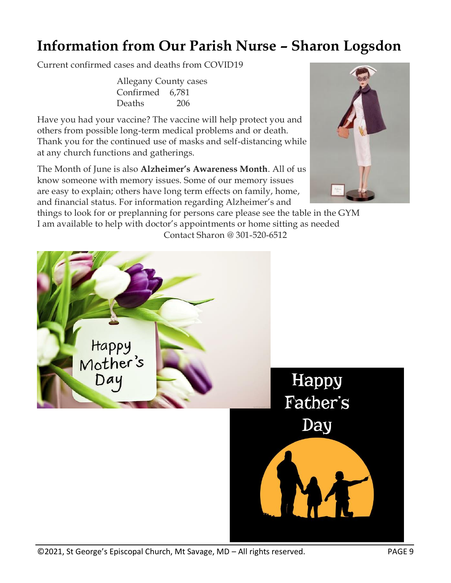# **Information from Our Parish Nurse – Sharon Logsdon**

Current confirmed cases and deaths from COVID19

Allegany County cases Confirmed 6,781 Deaths 206

Have you had your vaccine? The vaccine will help protect you and others from possible long-term medical problems and or death. Thank you for the continued use of masks and self-distancing while at any church functions and gatherings.

The Month of June is also **Alzheimer's Awareness Month**. All of us know someone with memory issues. Some of our memory issues are easy to explain; others have long term effects on family, home, and financial status. For information regarding Alzheimer's and



things to look for or preplanning for persons care please see the table in the GYM I am available to help with doctor's appointments or home sitting as needed Contact Sharon @ 301-520-6512

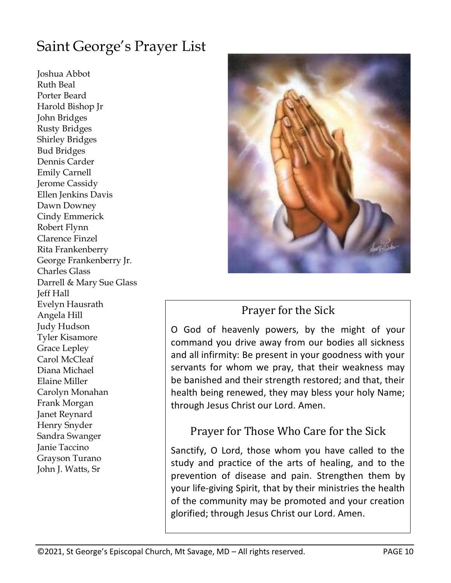# Saint George's Prayer List

Joshua Abbot Ruth Beal Porter Beard Harold Bishop Jr John Bridges Rusty Bridges Shirley Bridges Bud Bridges Dennis Carder Emily Carnell Jerome Cassidy Ellen Jenkins Davis Dawn Downey Cindy Emmerick Robert Flynn Clarence Finzel Rita Frankenberry George Frankenberry Jr. Charles Glass Darrell & Mary Sue Glass Jeff Hall Evelyn Hausrath Angela Hill Judy Hudson Tyler Kisamore Grace Lepley Carol McCleaf Diana Michael Elaine Miller Carolyn Monahan Frank Morgan Janet Reynard Henry Snyder Sandra Swanger Janie Taccino Grayson Turano John J. Watts, Sr



### Prayer for the Sick

O God of heavenly powers, by the might of your command you drive away from our bodies all sickness and all infirmity: Be present in your goodness with your servants for whom we pray, that their weakness may be banished and their strength restored; and that, their health being renewed, they may bless your holy Name; through Jesus Christ our Lord. Amen.

#### Prayer for Those Who Care for the Sick

Sanctify, O Lord, those whom you have called to the study and practice of the arts of healing, and to the prevention of disease and pain. Strengthen them by your life-giving Spirit, that by their ministries the health of the community may be promoted and your creation glorified; through Jesus Christ our Lord. Amen.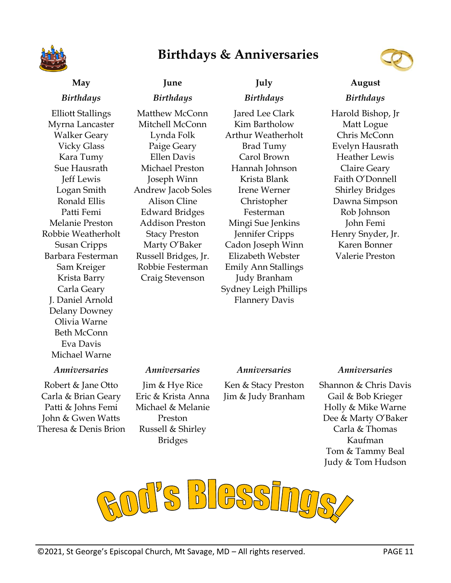



Elliott Stallings Myrna Lancaster Walker Geary Vicky Glass Kara Tumy Sue Hausrath Jeff Lewis Logan Smith Ronald Ellis Patti Femi Melanie Preston Robbie Weatherholt Susan Cripps Barbara Festerman Sam Kreiger Krista Barry Carla Geary J. Daniel Arnold Delany Downey Olivia Warne Beth McConn Eva Davis Michael Warne

Matthew McConn Mitchell McConn Lynda Folk Paige Geary Ellen Davis Michael Preston Joseph Winn Andrew Jacob Soles Alison Cline Edward Bridges Addison Preston Stacy Preston Marty O'Baker Russell Bridges, Jr. Robbie Festerman Craig Stevenson

#### Jared Lee Clark Kim Bartholow Arthur Weatherholt Brad Tumy Carol Brown Hannah Johnson Krista Blank Irene Werner Christopher Festerman Mingi Sue Jenkins Jennifer Cripps Cadon Joseph Winn Elizabeth Webster Emily Ann Stallings Judy Branham Sydney Leigh Phillips Flannery Davis

#### **May June July August** *Birthdays Birthdays Birthdays Birthdays*

Harold Bishop, Jr Matt Logue Chris McConn Evelyn Hausrath Heather Lewis Claire Geary Faith O'Donnell Shirley Bridges Dawna Simpson Rob Johnson John Femi Henry Snyder, Jr. Karen Bonner Valerie Preston

Robert & Jane Otto Carla & Brian Geary Patti & Johns Femi John & Gwen Watts Theresa & Denis Brion

#### *Anniversaries Anniversaries Anniversaries Anniversaries*

Jim & Hye Rice Eric & Krista Anna Michael & Melanie Preston Russell & Shirley Bridges

Ken & Stacy Preston Jim & Judy Branham

Shannon & Chris Davis Gail & Bob Krieger Holly & Mike Warne Dee & Marty O'Baker Carla & Thomas Kaufman Tom & Tammy Beal Judy & Tom Hudson